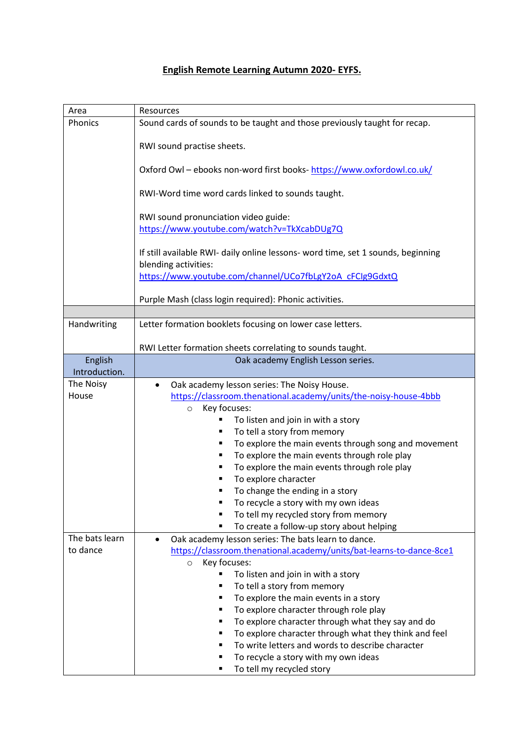## **English Remote Learning Autumn 2020- EYFS.**

| Area           | Resources                                                                                                |
|----------------|----------------------------------------------------------------------------------------------------------|
| Phonics        | Sound cards of sounds to be taught and those previously taught for recap.                                |
|                | RWI sound practise sheets.                                                                               |
|                | Oxford Owl - ebooks non-word first books- https://www.oxfordowl.co.uk/                                   |
|                | RWI-Word time word cards linked to sounds taught.                                                        |
|                | RWI sound pronunciation video guide:                                                                     |
|                | https://www.youtube.com/watch?v=TkXcabDUg7Q                                                              |
|                | If still available RWI- daily online lessons- word time, set 1 sounds, beginning<br>blending activities: |
|                | https://www.youtube.com/channel/UCo7fbLgY2oA cFCIg9GdxtQ                                                 |
|                | Purple Mash (class login required): Phonic activities.                                                   |
| Handwriting    | Letter formation booklets focusing on lower case letters.                                                |
|                |                                                                                                          |
|                | RWI Letter formation sheets correlating to sounds taught.                                                |
| English        | Oak academy English Lesson series.                                                                       |
| Introduction.  |                                                                                                          |
| The Noisy      | Oak academy lesson series: The Noisy House.<br>$\bullet$                                                 |
| House          | https://classroom.thenational.academy/units/the-noisy-house-4bbb                                         |
|                | Key focuses:<br>$\circ$                                                                                  |
|                | To listen and join in with a story                                                                       |
|                | To tell a story from memory                                                                              |
|                | To explore the main events through song and movement                                                     |
|                | To explore the main events through role play                                                             |
|                | To explore the main events through role play                                                             |
|                | To explore character                                                                                     |
|                | To change the ending in a story<br>п                                                                     |
|                | To recycle a story with my own ideas                                                                     |
|                | To tell my recycled story from memory                                                                    |
|                | To create a follow-up story about helping<br>$\blacksquare$                                              |
| The bats learn | Oak academy lesson series: The bats learn to dance.                                                      |
| to dance       | https://classroom.thenational.academy/units/bat-learns-to-dance-8ce1                                     |
|                | Key focuses:<br>$\circ$                                                                                  |
|                | To listen and join in with a story                                                                       |
|                | To tell a story from memory                                                                              |
|                | To explore the main events in a story                                                                    |
|                | To explore character through role play                                                                   |
|                | To explore character through what they say and do                                                        |
|                | To explore character through what they think and feel                                                    |
|                | To write letters and words to describe character                                                         |
|                | To recycle a story with my own ideas                                                                     |
|                | To tell my recycled story                                                                                |